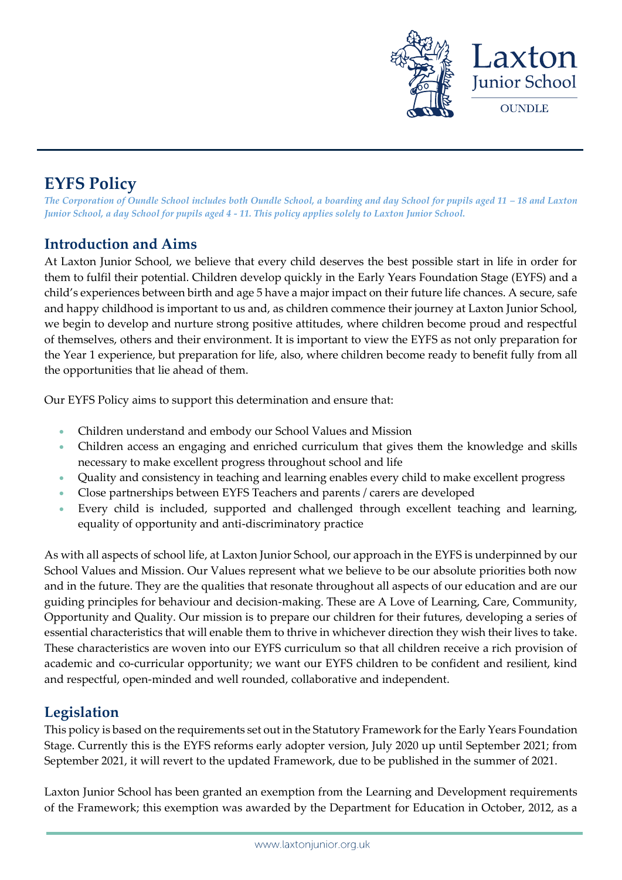

# **EYFS Policy**

*The Corporation of Oundle School includes both Oundle School, a boarding and day School for pupils aged 11 – 18 and Laxton Junior School, a day School for pupils aged 4 - 11. This policy applies solely to Laxton Junior School.*

# **Introduction and Aims**

At Laxton Junior School, we believe that every child deserves the best possible start in life in order for them to fulfil their potential. Children develop quickly in the Early Years Foundation Stage (EYFS) and a child's experiences between birth and age 5 have a major impact on their future life chances. A secure, safe and happy childhood is important to us and, as children commence their journey at Laxton Junior School, we begin to develop and nurture strong positive attitudes, where children become proud and respectful of themselves, others and their environment. It is important to view the EYFS as not only preparation for the Year 1 experience, but preparation for life, also, where children become ready to benefit fully from all the opportunities that lie ahead of them.

Our EYFS Policy aims to support this determination and ensure that:

- Children understand and embody our School Values and Mission
- Children access an engaging and enriched curriculum that gives them the knowledge and skills necessary to make excellent progress throughout school and life
- Quality and consistency in teaching and learning enables every child to make excellent progress
- Close partnerships between EYFS Teachers and parents / carers are developed
- Every child is included, supported and challenged through excellent teaching and learning, equality of opportunity and anti-discriminatory practice

As with all aspects of school life, at Laxton Junior School, our approach in the EYFS is underpinned by our School Values and Mission. Our Values represent what we believe to be our absolute priorities both now and in the future. They are the qualities that resonate throughout all aspects of our education and are our guiding principles for behaviour and decision-making. These are A Love of Learning, Care, Community, Opportunity and Quality. Our mission is to prepare our children for their futures, developing a series of essential characteristics that will enable them to thrive in whichever direction they wish their lives to take. These characteristics are woven into our EYFS curriculum so that all children receive a rich provision of academic and co-curricular opportunity; we want our EYFS children to be confident and resilient, kind and respectful, open-minded and well rounded, collaborative and independent.

# **Legislation**

This policy is based on the requirements set out in the Statutory Framework for the Early Years Foundation Stage. Currently this is the EYFS reforms early adopter version, July 2020 up until September 2021; from September 2021, it will revert to the updated Framework, due to be published in the summer of 2021.

Laxton Junior School has been granted an exemption from the Learning and Development requirements of the Framework; this exemption was awarded by the Department for Education in October, 2012, as a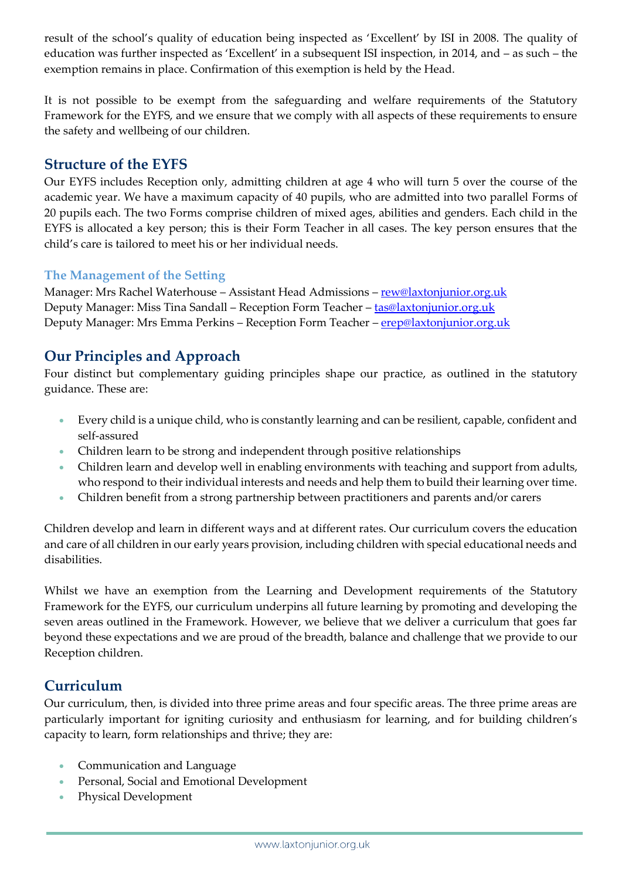result of the school's quality of education being inspected as 'Excellent' by ISI in 2008. The quality of education was further inspected as 'Excellent' in a subsequent ISI inspection, in 2014, and – as such – the exemption remains in place. Confirmation of this exemption is held by the Head.

It is not possible to be exempt from the safeguarding and welfare requirements of the Statutory Framework for the EYFS, and we ensure that we comply with all aspects of these requirements to ensure the safety and wellbeing of our children.

### **Structure of the EYFS**

Our EYFS includes Reception only, admitting children at age 4 who will turn 5 over the course of the academic year. We have a maximum capacity of 40 pupils, who are admitted into two parallel Forms of 20 pupils each. The two Forms comprise children of mixed ages, abilities and genders. Each child in the EYFS is allocated a key person; this is their Form Teacher in all cases. The key person ensures that the child's care is tailored to meet his or her individual needs.

#### **The Management of the Setting**

Manager: Mrs Rachel Waterhouse – Assistant Head Admissions – [rew@laxtonjunior.org.uk](mailto:rew@laxtonjunior.org.uk) Deputy Manager: Miss Tina Sandall – Reception Form Teacher – [tas@laxtonjunior.org.uk](mailto:tas@laxtonjunior.org.uk)  Deputy Manager: Mrs Emma Perkins – Reception Form Teacher – erep@laxtonjunior.org.uk

# **Our Principles and Approach**

Four distinct but complementary guiding principles shape our practice, as outlined in the statutory guidance. These are:

- Every child is a unique child, who is constantly learning and can be resilient, capable, confident and self-assured
- Children learn to be strong and independent through positive relationships
- Children learn and develop well in enabling environments with teaching and support from adults, who respond to their individual interests and needs and help them to build their learning over time.
- Children benefit from a strong partnership between practitioners and parents and/or carers

Children develop and learn in different ways and at different rates. Our curriculum covers the education and care of all children in our early years provision, including children with special educational needs and disabilities.

Whilst we have an exemption from the Learning and Development requirements of the Statutory Framework for the EYFS, our curriculum underpins all future learning by promoting and developing the seven areas outlined in the Framework. However, we believe that we deliver a curriculum that goes far beyond these expectations and we are proud of the breadth, balance and challenge that we provide to our Reception children.

# **Curriculum**

Our curriculum, then, is divided into three prime areas and four specific areas. The three prime areas are particularly important for igniting curiosity and enthusiasm for learning, and for building children's capacity to learn, form relationships and thrive; they are:

- Communication and Language
- Personal, Social and Emotional Development
- Physical Development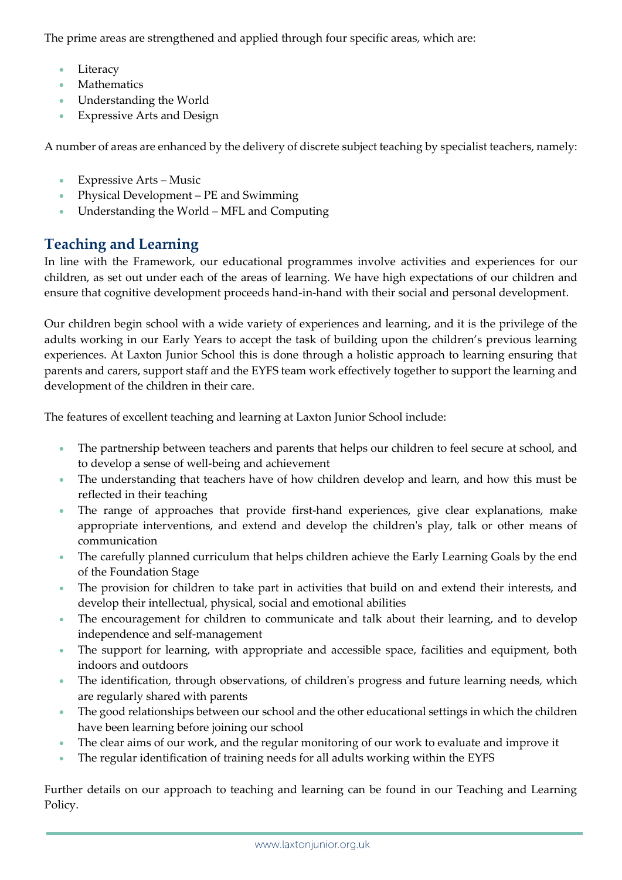The prime areas are strengthened and applied through four specific areas, which are:

- Literacy
- Mathematics
- Understanding the World
- Expressive Arts and Design

A number of areas are enhanced by the delivery of discrete subject teaching by specialist teachers, namely:

- Expressive Arts Music
- Physical Development PE and Swimming
- Understanding the World MFL and Computing

# **Teaching and Learning**

In line with the Framework, our educational programmes involve activities and experiences for our children, as set out under each of the areas of learning. We have high expectations of our children and ensure that cognitive development proceeds hand-in-hand with their social and personal development.

Our children begin school with a wide variety of experiences and learning, and it is the privilege of the adults working in our Early Years to accept the task of building upon the children's previous learning experiences. At Laxton Junior School this is done through a holistic approach to learning ensuring that parents and carers, support staff and the EYFS team work effectively together to support the learning and development of the children in their care.

The features of excellent teaching and learning at Laxton Junior School include:

- The partnership between teachers and parents that helps our children to feel secure at school, and to develop a sense of well-being and achievement
- The understanding that teachers have of how children develop and learn, and how this must be reflected in their teaching
- The range of approaches that provide first-hand experiences, give clear explanations, make appropriate interventions, and extend and develop the children's play, talk or other means of communication
- The carefully planned curriculum that helps children achieve the Early Learning Goals by the end of the Foundation Stage
- The provision for children to take part in activities that build on and extend their interests, and develop their intellectual, physical, social and emotional abilities
- The encouragement for children to communicate and talk about their learning, and to develop independence and self-management
- The support for learning, with appropriate and accessible space, facilities and equipment, both indoors and outdoors
- The identification, through observations, of children's progress and future learning needs, which are regularly shared with parents
- The good relationships between our school and the other educational settings in which the children have been learning before joining our school
- The clear aims of our work, and the regular monitoring of our work to evaluate and improve it
- The regular identification of training needs for all adults working within the EYFS

Further details on our approach to teaching and learning can be found in our Teaching and Learning Policy.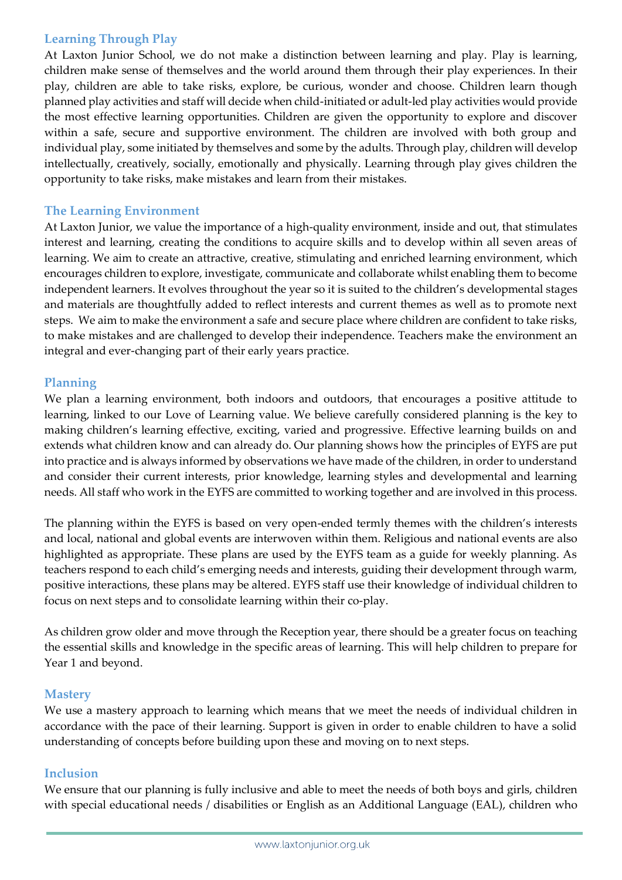#### **Learning Through Play**

At Laxton Junior School, we do not make a distinction between learning and play. Play is learning, children make sense of themselves and the world around them through their play experiences. In their play, children are able to take risks, explore, be curious, wonder and choose. Children learn though planned play activities and staff will decide when child-initiated or adult-led play activities would provide the most effective learning opportunities. Children are given the opportunity to explore and discover within a safe, secure and supportive environment. The children are involved with both group and individual play, some initiated by themselves and some by the adults. Through play, children will develop intellectually, creatively, socially, emotionally and physically. Learning through play gives children the opportunity to take risks, make mistakes and learn from their mistakes.

#### **The Learning Environment**

At Laxton Junior, we value the importance of a high-quality environment, inside and out, that stimulates interest and learning, creating the conditions to acquire skills and to develop within all seven areas of learning. We aim to create an attractive, creative, stimulating and enriched learning environment, which encourages children to explore, investigate, communicate and collaborate whilst enabling them to become independent learners. It evolves throughout the year so it is suited to the children's developmental stages and materials are thoughtfully added to reflect interests and current themes as well as to promote next steps. We aim to make the environment a safe and secure place where children are confident to take risks, to make mistakes and are challenged to develop their independence. Teachers make the environment an integral and ever-changing part of their early years practice.

#### **Planning**

We plan a learning environment, both indoors and outdoors, that encourages a positive attitude to learning, linked to our Love of Learning value. We believe carefully considered planning is the key to making children's learning effective, exciting, varied and progressive. Effective learning builds on and extends what children know and can already do. Our planning shows how the principles of EYFS are put into practice and is always informed by observations we have made of the children, in order to understand and consider their current interests, prior knowledge, learning styles and developmental and learning needs. All staff who work in the EYFS are committed to working together and are involved in this process.

The planning within the EYFS is based on very open-ended termly themes with the children's interests and local, national and global events are interwoven within them. Religious and national events are also highlighted as appropriate. These plans are used by the EYFS team as a guide for weekly planning. As teachers respond to each child's emerging needs and interests, guiding their development through warm, positive interactions, these plans may be altered. EYFS staff use their knowledge of individual children to focus on next steps and to consolidate learning within their co-play.

As children grow older and move through the Reception year, there should be a greater focus on teaching the essential skills and knowledge in the specific areas of learning. This will help children to prepare for Year 1 and beyond.

#### **Mastery**

We use a mastery approach to learning which means that we meet the needs of individual children in accordance with the pace of their learning. Support is given in order to enable children to have a solid understanding of concepts before building upon these and moving on to next steps.

#### **Inclusion**

We ensure that our planning is fully inclusive and able to meet the needs of both boys and girls, children with special educational needs / disabilities or English as an Additional Language (EAL), children who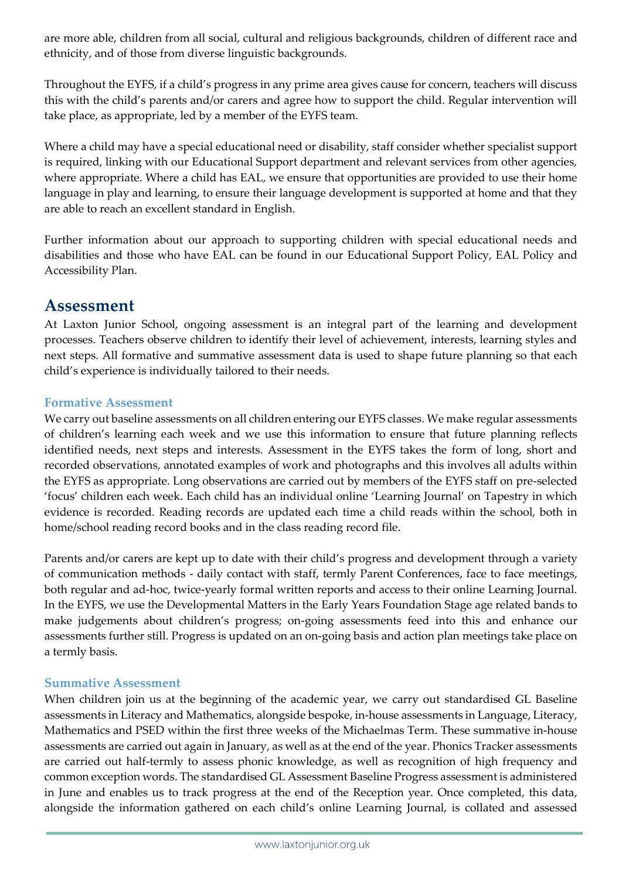are more able, children from all social, cultural and religious backgrounds, children of different race and ethnicity, and of those from diverse linguistic backgrounds.

Throughout the EYFS, if a child's progress in any prime area gives cause for concern, teachers will discuss this with the child's parents and/or carers and agree how to support the child. Regular intervention will take place, as appropriate, led by a member of the EYFS team.

Where a child may have a special educational need or disability, staff consider whether specialist support is required, linking with our Educational Support department and relevant services from other agencies, where appropriate. Where a child has EAL, we ensure that opportunities are provided to use their home language in play and learning, to ensure their language development is supported at home and that they are able to reach an excellent standard in English.

Further information about our approach to supporting children with special educational needs and disabilities and those who have EAL can be found in our Educational Support Policy, EAL Policy and Accessibility Plan.

# **Assessment**

At Laxton Junior School, ongoing assessment is an integral part of the learning and development processes. Teachers observe children to identify their level of achievement, interests, learning styles and next steps. All formative and summative assessment data is used to shape future planning so that each child's experience is individually tailored to their needs.

#### **Formative Assessment**

We carry out baseline assessments on all children entering our EYFS classes. We make regular assessments of children's learning each week and we use this information to ensure that future planning reflects identified needs, next steps and interests. Assessment in the EYFS takes the form of long, short and recorded observations, annotated examples of work and photographs and this involves all adults within the EYFS as appropriate. Long observations are carried out by members of the EYFS staff on pre-selected 'focus' children each week. Each child has an individual online 'Learning Journal' on Tapestry in which evidence is recorded. Reading records are updated each time a child reads within the school, both in home/school reading record books and in the class reading record file.

Parents and/or carers are kept up to date with their child's progress and development through a variety of communication methods - daily contact with staff, termly Parent Conferences, face to face meetings, both regular and ad-hoc, twice-yearly formal written reports and access to their online Learning Journal. In the EYFS, we use the Developmental Matters in the Early Years Foundation Stage age related bands to make judgements about children's progress; on-going assessments feed into this and enhance our assessments further still. Progress is updated on an on-going basis and action plan meetings take place on a termly basis.

#### **Summative Assessment**

When children join us at the beginning of the academic year, we carry out standardised GL Baseline assessments in Literacy and Mathematics, alongside bespoke, in-house assessments in Language, Literacy, Mathematics and PSED within the first three weeks of the Michaelmas Term. These summative in-house assessments are carried out again in January, as well as at the end of the year. Phonics Tracker assessments are carried out half-termly to assess phonic knowledge, as well as recognition of high frequency and common exception words. The standardised GL Assessment Baseline Progress assessment is administered in June and enables us to track progress at the end of the Reception year. Once completed, this data, alongside the information gathered on each child's online Learning Journal, is collated and assessed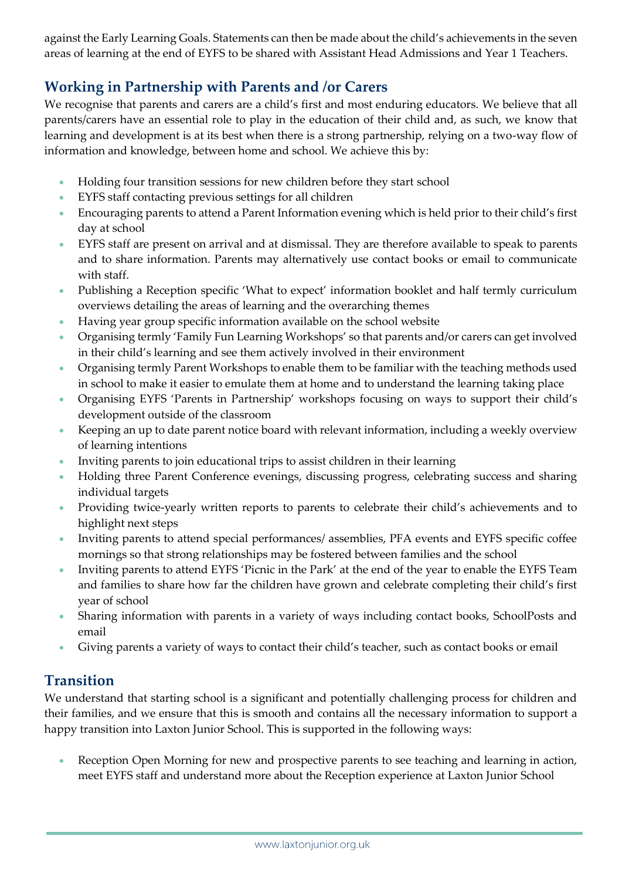against the Early Learning Goals. Statements can then be made about the child's achievements in the seven areas of learning at the end of EYFS to be shared with Assistant Head Admissions and Year 1 Teachers.

# **Working in Partnership with Parents and /or Carers**

We recognise that parents and carers are a child's first and most enduring educators. We believe that all parents/carers have an essential role to play in the education of their child and, as such, we know that learning and development is at its best when there is a strong partnership, relying on a two-way flow of information and knowledge, between home and school. We achieve this by:

- Holding four transition sessions for new children before they start school
- EYFS staff contacting previous settings for all children
- Encouraging parents to attend a Parent Information evening which is held prior to their child's first day at school
- EYFS staff are present on arrival and at dismissal. They are therefore available to speak to parents and to share information. Parents may alternatively use contact books or email to communicate with staff.
- Publishing a Reception specific 'What to expect' information booklet and half termly curriculum overviews detailing the areas of learning and the overarching themes
- Having year group specific information available on the school website
- Organising termly 'Family Fun Learning Workshops' so that parents and/or carers can get involved in their child's learning and see them actively involved in their environment
- Organising termly Parent Workshops to enable them to be familiar with the teaching methods used in school to make it easier to emulate them at home and to understand the learning taking place
- Organising EYFS 'Parents in Partnership' workshops focusing on ways to support their child's development outside of the classroom
- Keeping an up to date parent notice board with relevant information, including a weekly overview of learning intentions
- Inviting parents to join educational trips to assist children in their learning
- Holding three Parent Conference evenings, discussing progress, celebrating success and sharing individual targets
- Providing twice-yearly written reports to parents to celebrate their child's achievements and to highlight next steps
- Inviting parents to attend special performances/ assemblies, PFA events and EYFS specific coffee mornings so that strong relationships may be fostered between families and the school
- Inviting parents to attend EYFS 'Picnic in the Park' at the end of the year to enable the EYFS Team and families to share how far the children have grown and celebrate completing their child's first year of school
- Sharing information with parents in a variety of ways including contact books, SchoolPosts and email
- Giving parents a variety of ways to contact their child's teacher, such as contact books or email

# **Transition**

We understand that starting school is a significant and potentially challenging process for children and their families, and we ensure that this is smooth and contains all the necessary information to support a happy transition into Laxton Junior School. This is supported in the following ways:

 Reception Open Morning for new and prospective parents to see teaching and learning in action, meet EYFS staff and understand more about the Reception experience at Laxton Junior School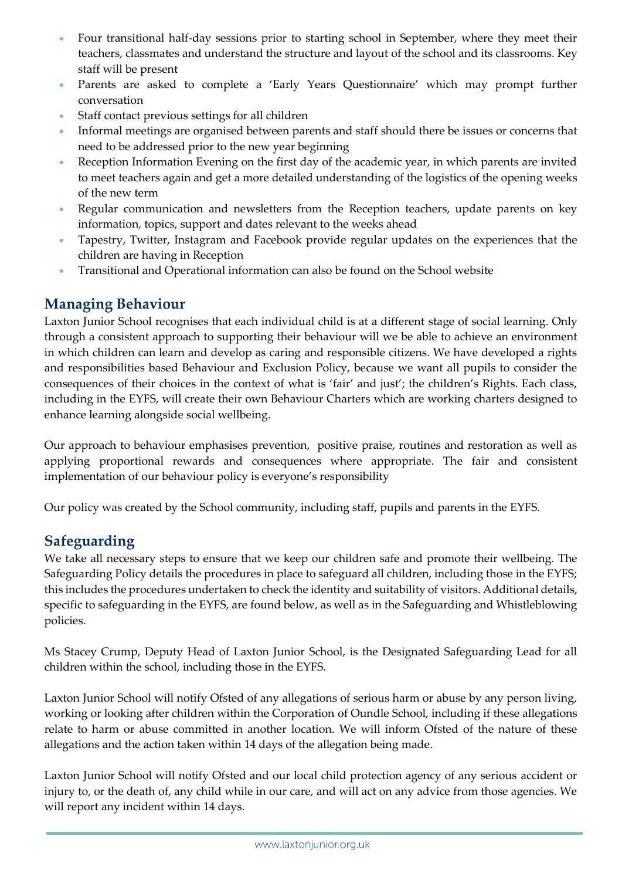- Four transitional half-day sessions prior to starting school in September, where they meet their teachers, classmates and understand the structure and layout of the school and its classrooms. Key staff will be present
- Parents are asked to complete a 'Early Years Questionnaire' which may prompt further conversation
- Staff contact previous settings for all children
- Informal meetings are organised between parents and staff should there be issues or concerns that need to be addressed prior to the new year beginning
- Reception Information Evening on the first day of the academic year, in which parents are invited to meet teachers again and get a more detailed understanding of the logistics of the opening weeks of the new term
- Regular communication and newsletters from the Reception teachers, update parents on key information, topics, support and dates relevant to the weeks ahead
- Tapestry, Twitter, Instagram and Facebook provide regular updates on the experiences that the children are having in Reception
- Transitional and Operational information can also be found on the School website

# **Managing Behaviour**

Laxton Junior School recognises that each individual child is at a different stage of social learning. Only through a consistent approach to supporting their behaviour will we be able to achieve an environment in which children can learn and develop as caring and responsible citizens. We have developed a rights and responsibilities based Behaviour and Exclusion Policy, because we want all pupils to consider the consequences of their choices in the context of what is 'fair' and just'; the children's Rights. Each class, including in the EYFS, will create their own Behaviour Charters which are working charters designed to enhance learning alongside social wellbeing.

Our approach to behaviour emphasises prevention, positive praise, routines and restoration as well as applying proportional rewards and consequences where appropriate. The fair and consistent implementation of our behaviour policy is everyone's responsibility

Our policy was created by the School community, including staff, pupils and parents in the EYFS.

# **Safeguarding**

We take all necessary steps to ensure that we keep our children safe and promote their wellbeing. The Safeguarding Policy details the procedures in place to safeguard all children, including those in the EYFS; this includes the procedures undertaken to check the identity and suitability of visitors. Additional details, specific to safeguarding in the EYFS, are found below, as well as in the Safeguarding and Whistleblowing policies.

Ms Stacey Crump, Deputy Head of Laxton Junior School, is the Designated Safeguarding Lead for all children within the school, including those in the EYFS.

Laxton Junior School will notify Ofsted of any allegations of serious harm or abuse by any person living, working or looking after children within the Corporation of Oundle School, including if these allegations relate to harm or abuse committed in another location. We will inform Ofsted of the nature of these allegations and the action taken within 14 days of the allegation being made.

Laxton Junior School will notify Ofsted and our local child protection agency of any serious accident or injury to, or the death of, any child while in our care, and will act on any advice from those agencies. We will report any incident within 14 days.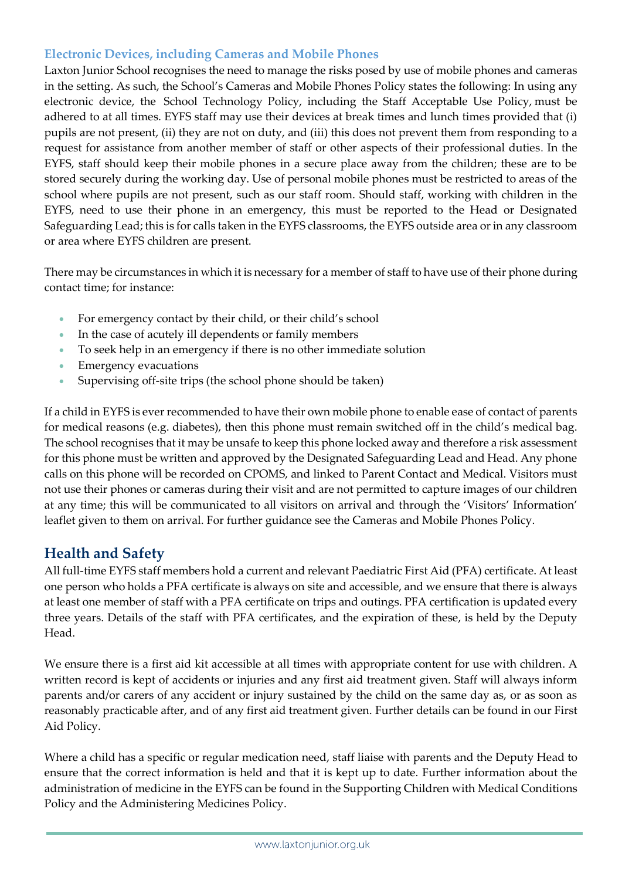#### **Electronic Devices, including Cameras and Mobile Phones**

Laxton Junior School recognises the need to manage the risks posed by use of mobile phones and cameras in the setting. As such, the School's Cameras and Mobile Phones Policy states the following: In using any electronic device, the School Technology Policy, including the Staff Acceptable Use Policy, must be adhered to at all times. EYFS staff may use their devices at break times and lunch times provided that (i) pupils are not present, (ii) they are not on duty, and (iii) this does not prevent them from responding to a request for assistance from another member of staff or other aspects of their professional duties. In the EYFS, staff should keep their mobile phones in a secure place away from the children; these are to be stored securely during the working day. Use of personal mobile phones must be restricted to areas of the school where pupils are not present, such as our staff room. Should staff, working with children in the EYFS, need to use their phone in an emergency, this must be reported to the Head or Designated Safeguarding Lead; this is for calls taken in the EYFS classrooms, the EYFS outside area or in any classroom or area where EYFS children are present.

There may be circumstances in which it is necessary for a member of staff to have use of their phone during contact time; for instance:

- For emergency contact by their child, or their child's school
- In the case of acutely ill dependents or family members
- To seek help in an emergency if there is no other immediate solution
- **Emergency evacuations**
- Supervising off-site trips (the school phone should be taken)

If a child in EYFS is ever recommended to have their own mobile phone to enable ease of contact of parents for medical reasons (e.g. diabetes), then this phone must remain switched off in the child's medical bag. The school recognises that it may be unsafe to keep this phone locked away and therefore a risk assessment for this phone must be written and approved by the Designated Safeguarding Lead and Head. Any phone calls on this phone will be recorded on CPOMS, and linked to Parent Contact and Medical. Visitors must not use their phones or cameras during their visit and are not permitted to capture images of our children at any time; this will be communicated to all visitors on arrival and through the 'Visitors' Information' leaflet given to them on arrival. For further guidance see the Cameras and Mobile Phones Policy.

# **Health and Safety**

All full-time EYFS staff members hold a current and relevant Paediatric First Aid (PFA) certificate. At least one person who holds a PFA certificate is always on site and accessible, and we ensure that there is always at least one member of staff with a PFA certificate on trips and outings. PFA certification is updated every three years. Details of the staff with PFA certificates, and the expiration of these, is held by the Deputy Head.

We ensure there is a first aid kit accessible at all times with appropriate content for use with children. A written record is kept of accidents or injuries and any first aid treatment given. Staff will always inform parents and/or carers of any accident or injury sustained by the child on the same day as, or as soon as reasonably practicable after, and of any first aid treatment given. Further details can be found in our First Aid Policy.

Where a child has a specific or regular medication need, staff liaise with parents and the Deputy Head to ensure that the correct information is held and that it is kept up to date. Further information about the administration of medicine in the EYFS can be found in the Supporting Children with Medical Conditions Policy and the Administering Medicines Policy.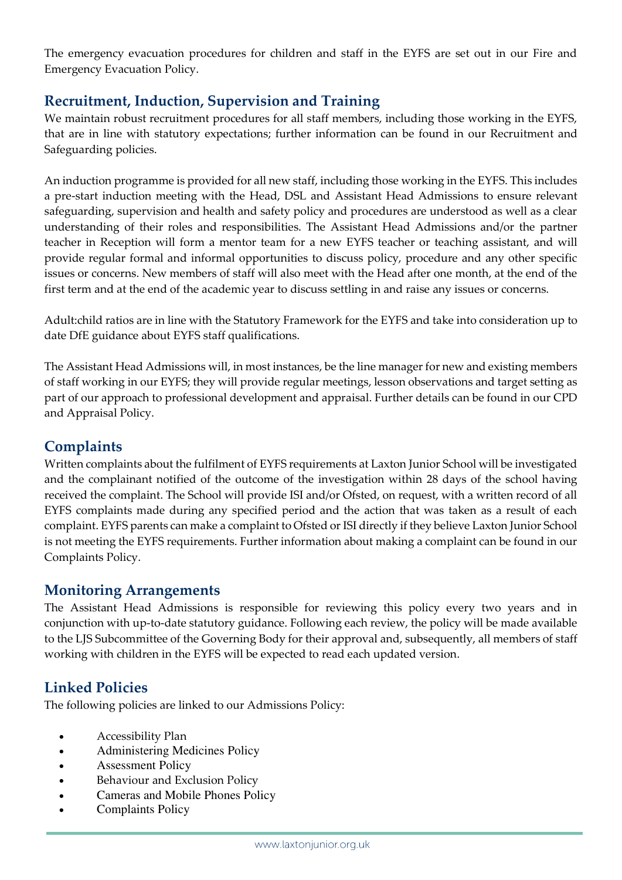The emergency evacuation procedures for children and staff in the EYFS are set out in our Fire and Emergency Evacuation Policy.

# **Recruitment, Induction, Supervision and Training**

We maintain robust recruitment procedures for all staff members, including those working in the EYFS, that are in line with statutory expectations; further information can be found in our Recruitment and Safeguarding policies.

An induction programme is provided for all new staff, including those working in the EYFS. This includes a pre-start induction meeting with the Head, DSL and Assistant Head Admissions to ensure relevant safeguarding, supervision and health and safety policy and procedures are understood as well as a clear understanding of their roles and responsibilities. The Assistant Head Admissions and/or the partner teacher in Reception will form a mentor team for a new EYFS teacher or teaching assistant, and will provide regular formal and informal opportunities to discuss policy, procedure and any other specific issues or concerns. New members of staff will also meet with the Head after one month, at the end of the first term and at the end of the academic year to discuss settling in and raise any issues or concerns.

Adult:child ratios are in line with the Statutory Framework for the EYFS and take into consideration up to date DfE guidance about EYFS staff qualifications.

The Assistant Head Admissions will, in most instances, be the line manager for new and existing members of staff working in our EYFS; they will provide regular meetings, lesson observations and target setting as part of our approach to professional development and appraisal. Further details can be found in our CPD and Appraisal Policy.

# **Complaints**

Written complaints about the fulfilment of EYFS requirements at Laxton Junior School will be investigated and the complainant notified of the outcome of the investigation within 28 days of the school having received the complaint. The School will provide ISI and/or Ofsted, on request, with a written record of all EYFS complaints made during any specified period and the action that was taken as a result of each complaint. EYFS parents can make a complaint to Ofsted or ISI directly if they believe Laxton Junior School is not meeting the EYFS requirements. Further information about making a complaint can be found in our Complaints Policy.

### **Monitoring Arrangements**

The Assistant Head Admissions is responsible for reviewing this policy every two years and in conjunction with up-to-date statutory guidance. Following each review, the policy will be made available to the LJS Subcommittee of the Governing Body for their approval and, subsequently, all members of staff working with children in the EYFS will be expected to read each updated version.

# **Linked Policies**

The following policies are linked to our Admissions Policy:

- Accessibility Plan
- Administering Medicines Policy
- Assessment Policy
- Behaviour and Exclusion Policy
- Cameras and Mobile Phones Policy
- Complaints Policy